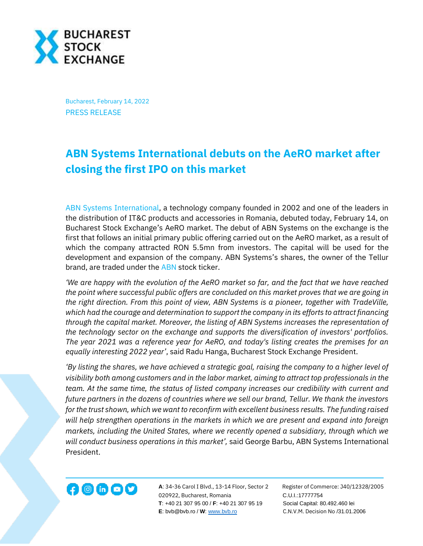

Bucharest, February 14, 2022 PRESS RELEASE

## **ABN Systems International debuts on the AeRO market after closing the first IPO on this market**

[ABN Systems International,](https://www.abnsystems.ro/) a technology company founded in 2002 and one of the leaders in the distribution of IT&C products and accessories in Romania, debuted today, February 14, on Bucharest Stock Exchange's AeRO market. The debut of ABN Systems on the exchange is the first that follows an initial primary public offering carried out on the AeRO market, as a result of which the company attracted RON 5.5mn from investors. The capital will be used for the development and expansion of the company. ABN Systems's shares, the owner of the Tellur brand, are traded under the [ABN](https://bvb.ro/FinancialInstruments/Details/FinancialInstrumentsDetails.aspx?s=ABN) stock ticker.

*'We are happy with the evolution of the AeRO market so far, and the fact that we have reached the point where successful public offers are concluded on this market proves that we are going in the right direction. From this point of view, ABN Systems is a pioneer, together with TradeVille, which had the courage and determination to support the company in its efforts to attract financing through the capital market. Moreover, the listing of ABN Systems increases the representation of the technology sector on the exchange and supports the diversification of investors' portfolios. The year 2021 was a reference year for AeRO, and today's listing creates the premises for an equally interesting 2022 year'*, said Radu Hanga, Bucharest Stock Exchange President.

*'By listing the shares, we have achieved a strategic goal, raising the company to a higher level of visibility both among customers and in the labor market, aiming to attract top professionals in the team. At the same time, the status of listed company increases our credibility with current and future partners in the dozens of countries where we sell our brand, Tellur. We thank the investors for the trust shown, which we want to reconfirm with excellent business results. The funding raised will help strengthen operations in the markets in which we are present and expand into foreign markets, including the United States, where we recently opened a subsidiary, through which we will conduct business operations in this market',* said George Barbu, ABN Systems International President.



**A**: 34-36 Carol I Blvd., 13-14 Floor, Sector 2 Register of Commerce: J40/12328/2005 020922, Bucharest, Romania C.U.I.:17777754  **T**: +40 21 307 95 00 / **F**: +40 21 307 95 19 Social Capital: 80.492.460 lei **E**: bvb@bvb.ro / **W**[: www.bvb.ro](http://www.bvb.ro/) C.N.V.M. Decision No /31.01.2006